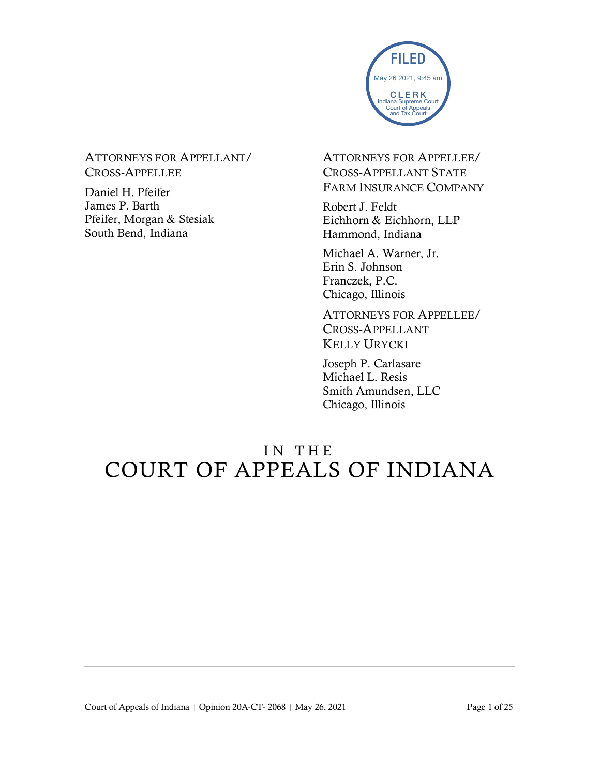

#### ATTORNEYS FOR APPELLANT/ CROSS-APPELLEE

Daniel H. Pfeifer James P. Barth Pfeifer, Morgan & Stesiak South Bend, Indiana

ATTORNEYS FOR APPELLEE/ CROSS-APPELLANT STATE FARM INSURANCE COMPANY

Robert J. Feldt Eichhorn & Eichhorn, LLP Hammond, Indiana

Michael A. Warner, Jr. Erin S. Johnson Franczek, P.C. Chicago, Illinois

ATTORNEYS FOR APPELLEE/ CROSS-APPELLANT KELLY URYCKI

Joseph P. Carlasare Michael L. Resis Smith Amundsen, LLC Chicago, Illinois

# IN THE COURT OF APPEALS OF INDIANA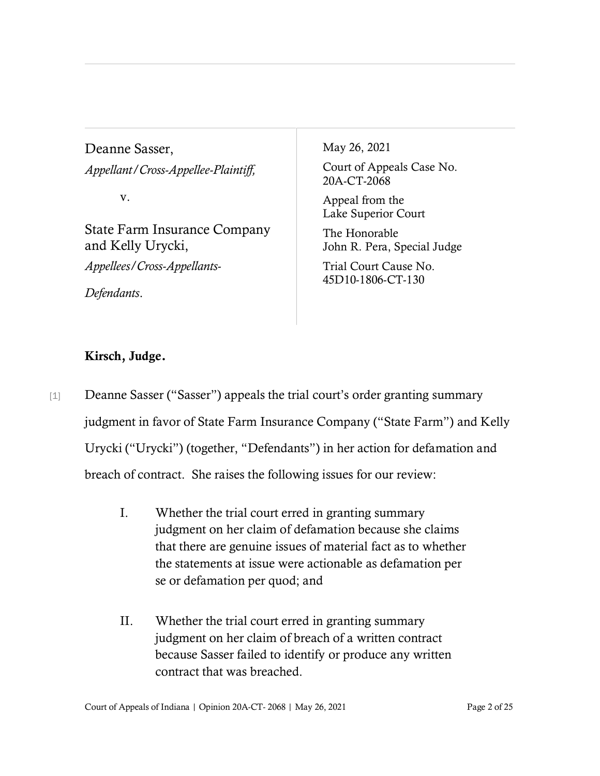Deanne Sasser, *Appellant/Cross-Appellee-Plaintiff,*

v.

State Farm Insurance Company and Kelly Urycki, *Appellees/Cross-Appellants-*

*Defendants*.

May 26, 2021

Court of Appeals Case No. 20A-CT-2068

Appeal from the Lake Superior Court

The Honorable John R. Pera, Special Judge

Trial Court Cause No. 45D10-1806-CT-130

# Kirsch, Judge.

[1] Deanne Sasser ("Sasser") appeals the trial court's order granting summary judgment in favor of State Farm Insurance Company ("State Farm") and Kelly Urycki ("Urycki") (together, "Defendants") in her action for defamation and breach of contract. She raises the following issues for our review:

- I. Whether the trial court erred in granting summary judgment on her claim of defamation because she claims that there are genuine issues of material fact as to whether the statements at issue were actionable as defamation per se or defamation per quod; and
- II. Whether the trial court erred in granting summary judgment on her claim of breach of a written contract because Sasser failed to identify or produce any written contract that was breached.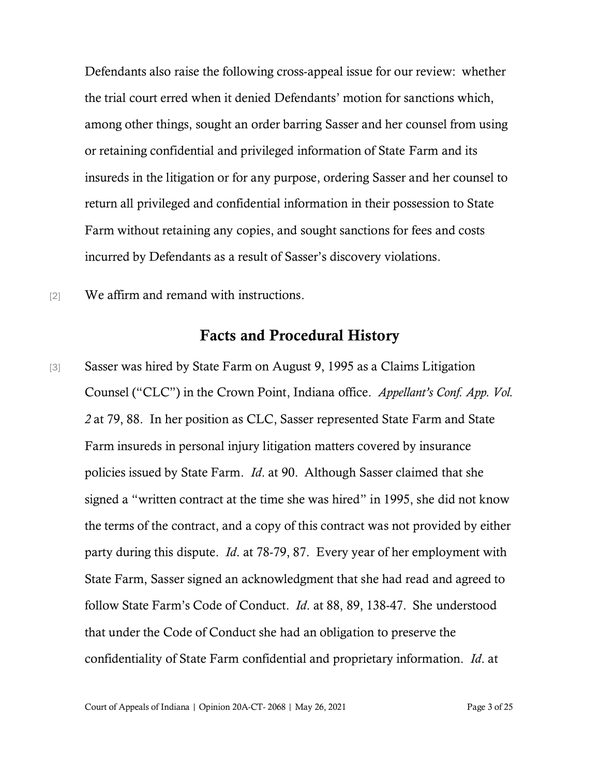Defendants also raise the following cross-appeal issue for our review: whether the trial court erred when it denied Defendants' motion for sanctions which, among other things, sought an order barring Sasser and her counsel from using or retaining confidential and privileged information of State Farm and its insureds in the litigation or for any purpose, ordering Sasser and her counsel to return all privileged and confidential information in their possession to State Farm without retaining any copies, and sought sanctions for fees and costs incurred by Defendants as a result of Sasser's discovery violations.

[2] We affirm and remand with instructions.

## Facts and Procedural History

[3] Sasser was hired by State Farm on August 9, 1995 as a Claims Litigation Counsel ("CLC") in the Crown Point, Indiana office. *Appellant's Conf. App. Vol. 2* at 79, 88. In her position as CLC, Sasser represented State Farm and State Farm insureds in personal injury litigation matters covered by insurance policies issued by State Farm. *Id*. at 90. Although Sasser claimed that she signed a "written contract at the time she was hired" in 1995, she did not know the terms of the contract, and a copy of this contract was not provided by either party during this dispute. *Id*. at 78-79, 87. Every year of her employment with State Farm, Sasser signed an acknowledgment that she had read and agreed to follow State Farm's Code of Conduct. *Id*. at 88, 89, 138-47. She understood that under the Code of Conduct she had an obligation to preserve the confidentiality of State Farm confidential and proprietary information. *Id*. at

Court of Appeals of Indiana | Opinion 20A-CT- 2068 | May 26, 2021 Page 3 of 25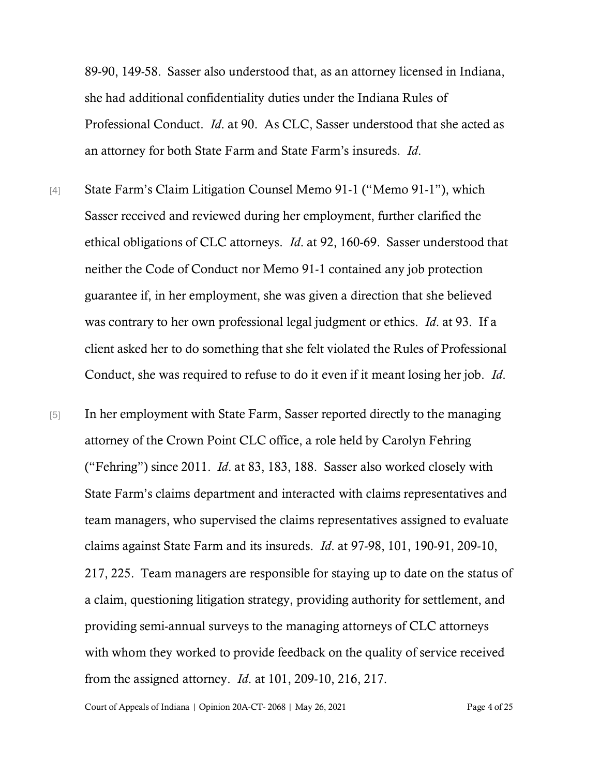89-90, 149-58. Sasser also understood that, as an attorney licensed in Indiana, she had additional confidentiality duties under the Indiana Rules of Professional Conduct. *Id*. at 90. As CLC, Sasser understood that she acted as an attorney for both State Farm and State Farm's insureds. *Id*.

- [4] State Farm's Claim Litigation Counsel Memo 91-1 ("Memo 91-1"), which Sasser received and reviewed during her employment, further clarified the ethical obligations of CLC attorneys. *Id*. at 92, 160-69. Sasser understood that neither the Code of Conduct nor Memo 91-1 contained any job protection guarantee if, in her employment, she was given a direction that she believed was contrary to her own professional legal judgment or ethics. *Id*. at 93. If a client asked her to do something that she felt violated the Rules of Professional Conduct, she was required to refuse to do it even if it meant losing her job. *Id*.
- [5] In her employment with State Farm, Sasser reported directly to the managing attorney of the Crown Point CLC office, a role held by Carolyn Fehring ("Fehring") since 2011. *Id*. at 83, 183, 188. Sasser also worked closely with State Farm's claims department and interacted with claims representatives and team managers, who supervised the claims representatives assigned to evaluate claims against State Farm and its insureds. *Id*. at 97-98, 101, 190-91, 209-10, 217, 225. Team managers are responsible for staying up to date on the status of a claim, questioning litigation strategy, providing authority for settlement, and providing semi-annual surveys to the managing attorneys of CLC attorneys with whom they worked to provide feedback on the quality of service received from the assigned attorney. *Id*. at 101, 209-10, 216, 217.

Court of Appeals of Indiana | Opinion 20A-CT- 2068 | May 26, 2021 Page 4 of 25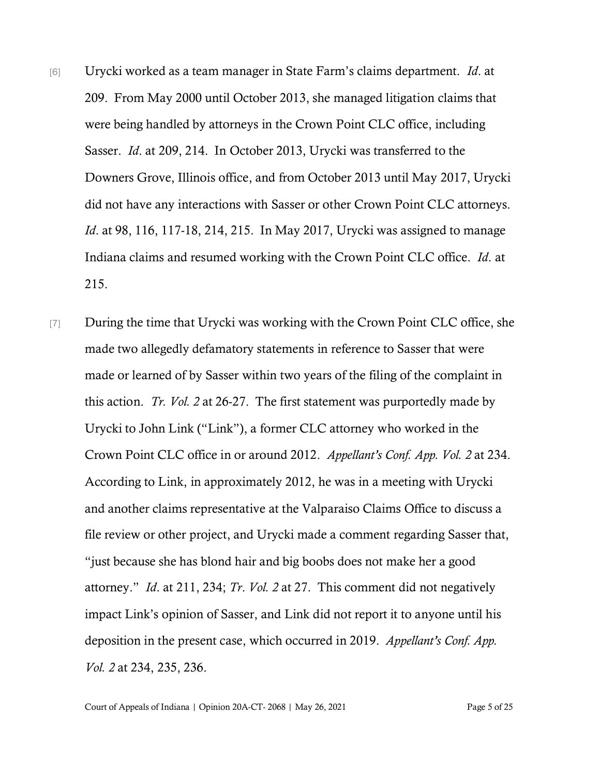- [6] Urycki worked as a team manager in State Farm's claims department. *Id*. at 209. From May 2000 until October 2013, she managed litigation claims that were being handled by attorneys in the Crown Point CLC office, including Sasser. *Id*. at 209, 214. In October 2013, Urycki was transferred to the Downers Grove, Illinois office, and from October 2013 until May 2017, Urycki did not have any interactions with Sasser or other Crown Point CLC attorneys. *Id*. at 98, 116, 117-18, 214, 215. In May 2017, Urycki was assigned to manage Indiana claims and resumed working with the Crown Point CLC office. *Id*. at 215.
- [7] During the time that Urycki was working with the Crown Point CLC office, she made two allegedly defamatory statements in reference to Sasser that were made or learned of by Sasser within two years of the filing of the complaint in this action. *Tr. Vol. 2* at 26-27. The first statement was purportedly made by Urycki to John Link ("Link"), a former CLC attorney who worked in the Crown Point CLC office in or around 2012. *Appellant's Conf. App. Vol. 2* at 234. According to Link, in approximately 2012, he was in a meeting with Urycki and another claims representative at the Valparaiso Claims Office to discuss a file review or other project, and Urycki made a comment regarding Sasser that, "just because she has blond hair and big boobs does not make her a good attorney." *Id*. at 211, 234; *Tr*. *Vol. 2* at 27. This comment did not negatively impact Link's opinion of Sasser, and Link did not report it to anyone until his deposition in the present case, which occurred in 2019. *Appellant's Conf. App. Vol. 2* at 234, 235, 236.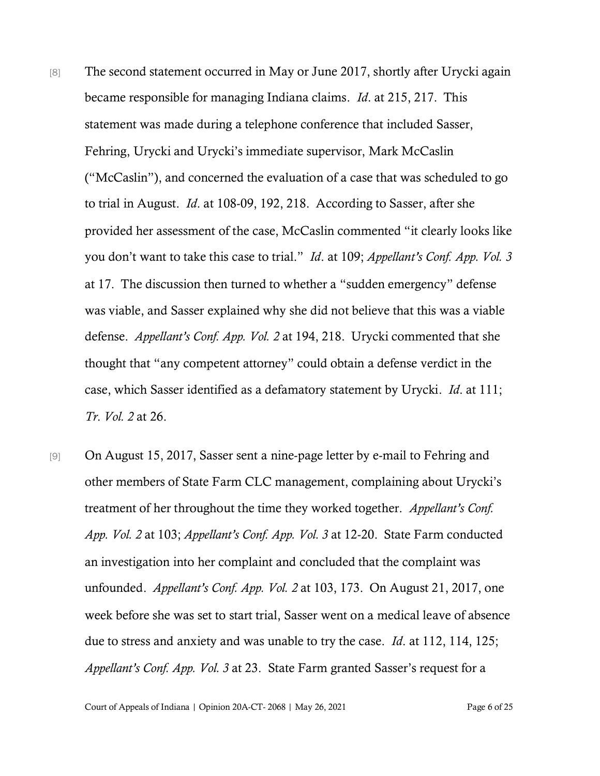- [8] The second statement occurred in May or June 2017, shortly after Urycki again became responsible for managing Indiana claims. *Id*. at 215, 217. This statement was made during a telephone conference that included Sasser, Fehring, Urycki and Urycki's immediate supervisor, Mark McCaslin ("McCaslin"), and concerned the evaluation of a case that was scheduled to go to trial in August. *Id*. at 108-09, 192, 218. According to Sasser, after she provided her assessment of the case, McCaslin commented "it clearly looks like you don't want to take this case to trial." *Id*. at 109; *Appellant's Conf. App. Vol. 3* at 17. The discussion then turned to whether a "sudden emergency" defense was viable, and Sasser explained why she did not believe that this was a viable defense. *Appellant's Conf. App. Vol. 2* at 194, 218. Urycki commented that she thought that "any competent attorney" could obtain a defense verdict in the case, which Sasser identified as a defamatory statement by Urycki. *Id*. at 111; *Tr*. *Vol. 2* at 26.
- [9] On August 15, 2017, Sasser sent a nine-page letter by e-mail to Fehring and other members of State Farm CLC management, complaining about Urycki's treatment of her throughout the time they worked together. *Appellant's Conf. App. Vol. 2* at 103; *Appellant's Conf. App. Vol. 3* at 12-20. State Farm conducted an investigation into her complaint and concluded that the complaint was unfounded. *Appellant's Conf. App. Vol. 2* at 103, 173. On August 21, 2017, one week before she was set to start trial, Sasser went on a medical leave of absence due to stress and anxiety and was unable to try the case. *Id*. at 112, 114, 125; *Appellant's Conf. App. Vol. 3* at 23. State Farm granted Sasser's request for a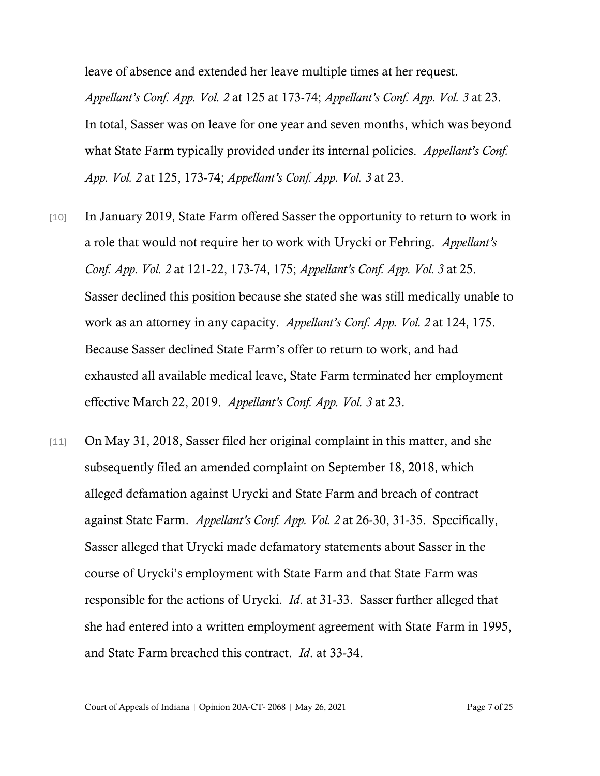leave of absence and extended her leave multiple times at her request. *Appellant's Conf. App. Vol. 2* at 125 at 173-74; *Appellant's Conf. App. Vol. 3* at 23. In total, Sasser was on leave for one year and seven months, which was beyond what State Farm typically provided under its internal policies. *Appellant's Conf. App. Vol. 2* at 125, 173-74; *Appellant's Conf. App. Vol. 3* at 23.

- [10] In January 2019, State Farm offered Sasser the opportunity to return to work in a role that would not require her to work with Urycki or Fehring. *Appellant's Conf. App. Vol. 2* at 121-22, 173-74, 175; *Appellant's Conf. App. Vol. 3* at 25. Sasser declined this position because she stated she was still medically unable to work as an attorney in any capacity. *Appellant's Conf. App. Vol. 2* at 124, 175. Because Sasser declined State Farm's offer to return to work, and had exhausted all available medical leave, State Farm terminated her employment effective March 22, 2019. *Appellant's Conf. App. Vol. 3* at 23.
- [11] On May 31, 2018, Sasser filed her original complaint in this matter, and she subsequently filed an amended complaint on September 18, 2018, which alleged defamation against Urycki and State Farm and breach of contract against State Farm. *Appellant's Conf. App. Vol. 2* at 26-30, 31-35. Specifically, Sasser alleged that Urycki made defamatory statements about Sasser in the course of Urycki's employment with State Farm and that State Farm was responsible for the actions of Urycki. *Id*. at 31-33. Sasser further alleged that she had entered into a written employment agreement with State Farm in 1995, and State Farm breached this contract. *Id*. at 33-34.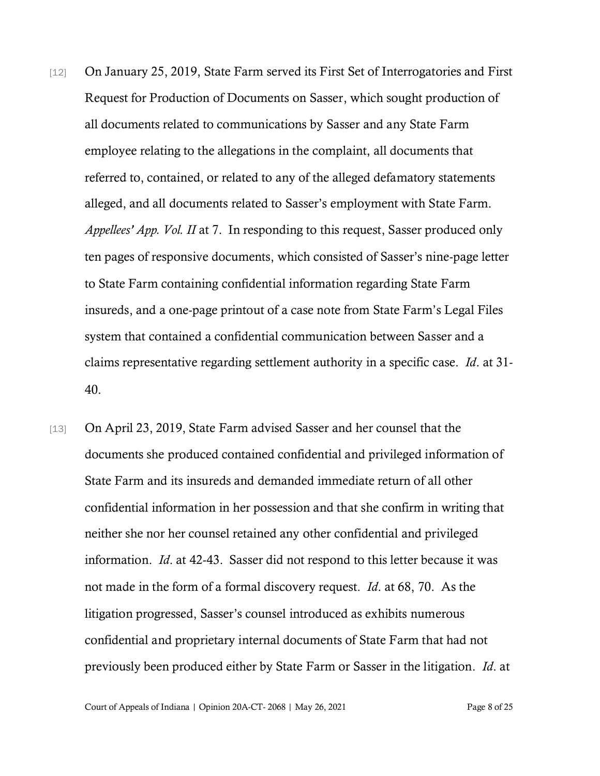- [12] On January 25, 2019, State Farm served its First Set of Interrogatories and First Request for Production of Documents on Sasser, which sought production of all documents related to communications by Sasser and any State Farm employee relating to the allegations in the complaint, all documents that referred to, contained, or related to any of the alleged defamatory statements alleged, and all documents related to Sasser's employment with State Farm. *Appellees' App. Vol. II* at 7. In responding to this request, Sasser produced only ten pages of responsive documents, which consisted of Sasser's nine-page letter to State Farm containing confidential information regarding State Farm insureds, and a one-page printout of a case note from State Farm's Legal Files system that contained a confidential communication between Sasser and a claims representative regarding settlement authority in a specific case. *Id*. at 31- 40.
- [13] On April 23, 2019, State Farm advised Sasser and her counsel that the documents she produced contained confidential and privileged information of State Farm and its insureds and demanded immediate return of all other confidential information in her possession and that she confirm in writing that neither she nor her counsel retained any other confidential and privileged information. *Id*. at 42-43. Sasser did not respond to this letter because it was not made in the form of a formal discovery request. *Id*. at 68, 70. As the litigation progressed, Sasser's counsel introduced as exhibits numerous confidential and proprietary internal documents of State Farm that had not previously been produced either by State Farm or Sasser in the litigation. *Id*. at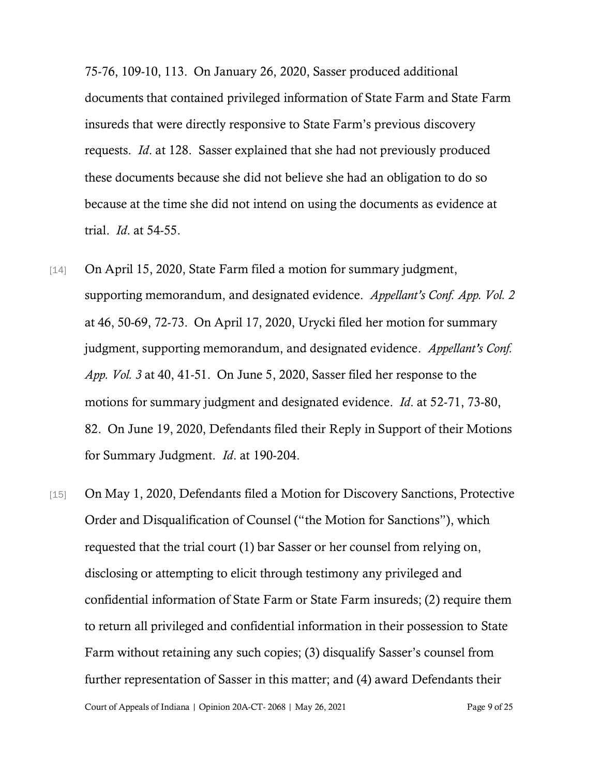75-76, 109-10, 113. On January 26, 2020, Sasser produced additional documents that contained privileged information of State Farm and State Farm insureds that were directly responsive to State Farm's previous discovery requests. *Id*. at 128. Sasser explained that she had not previously produced these documents because she did not believe she had an obligation to do so because at the time she did not intend on using the documents as evidence at trial. *Id*. at 54-55.

- [14] On April 15, 2020, State Farm filed a motion for summary judgment, supporting memorandum, and designated evidence. *Appellant's Conf. App. Vol. 2* at 46, 50-69, 72-73. On April 17, 2020, Urycki filed her motion for summary judgment, supporting memorandum, and designated evidence. *Appellant's Conf. App. Vol. 3* at 40, 41-51. On June 5, 2020, Sasser filed her response to the motions for summary judgment and designated evidence. *Id*. at 52-71, 73-80, 82. On June 19, 2020, Defendants filed their Reply in Support of their Motions for Summary Judgment. *Id*. at 190-204.
- Court of Appeals of Indiana | Opinion 20A-CT- 2068 | May 26, 2021 Page 9 of 25 [15] On May 1, 2020, Defendants filed a Motion for Discovery Sanctions, Protective Order and Disqualification of Counsel ("the Motion for Sanctions"), which requested that the trial court (1) bar Sasser or her counsel from relying on, disclosing or attempting to elicit through testimony any privileged and confidential information of State Farm or State Farm insureds; (2) require them to return all privileged and confidential information in their possession to State Farm without retaining any such copies; (3) disqualify Sasser's counsel from further representation of Sasser in this matter; and (4) award Defendants their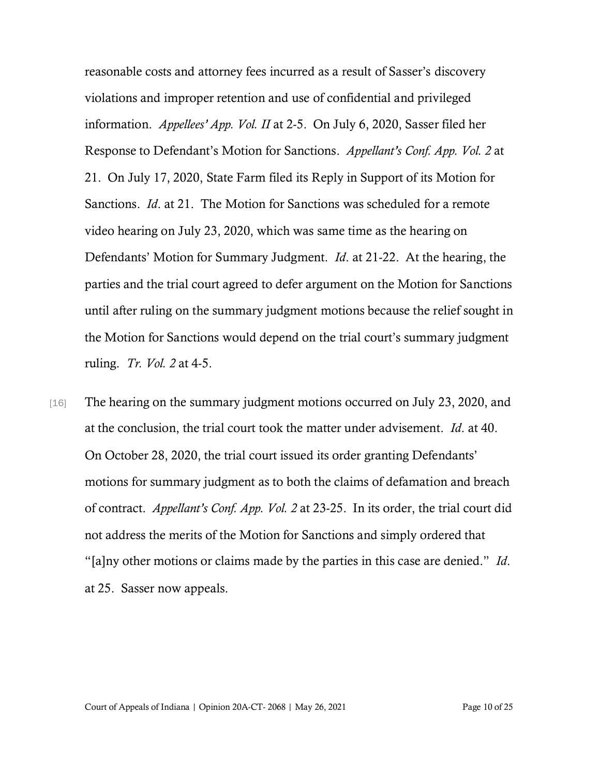reasonable costs and attorney fees incurred as a result of Sasser's discovery violations and improper retention and use of confidential and privileged information. *Appellees' App. Vol. II* at 2-5. On July 6, 2020, Sasser filed her Response to Defendant's Motion for Sanctions. *Appellant's Conf. App. Vol. 2* at 21. On July 17, 2020, State Farm filed its Reply in Support of its Motion for Sanctions. *Id*. at 21. The Motion for Sanctions was scheduled for a remote video hearing on July 23, 2020, which was same time as the hearing on Defendants' Motion for Summary Judgment. *Id*. at 21-22. At the hearing, the parties and the trial court agreed to defer argument on the Motion for Sanctions until after ruling on the summary judgment motions because the relief sought in the Motion for Sanctions would depend on the trial court's summary judgment ruling. *Tr. Vol. 2* at 4-5.

[16] The hearing on the summary judgment motions occurred on July 23, 2020, and at the conclusion, the trial court took the matter under advisement. *Id*. at 40. On October 28, 2020, the trial court issued its order granting Defendants' motions for summary judgment as to both the claims of defamation and breach of contract. *Appellant's Conf. App. Vol. 2* at 23-25. In its order, the trial court did not address the merits of the Motion for Sanctions and simply ordered that "[a]ny other motions or claims made by the parties in this case are denied." *Id*. at 25. Sasser now appeals.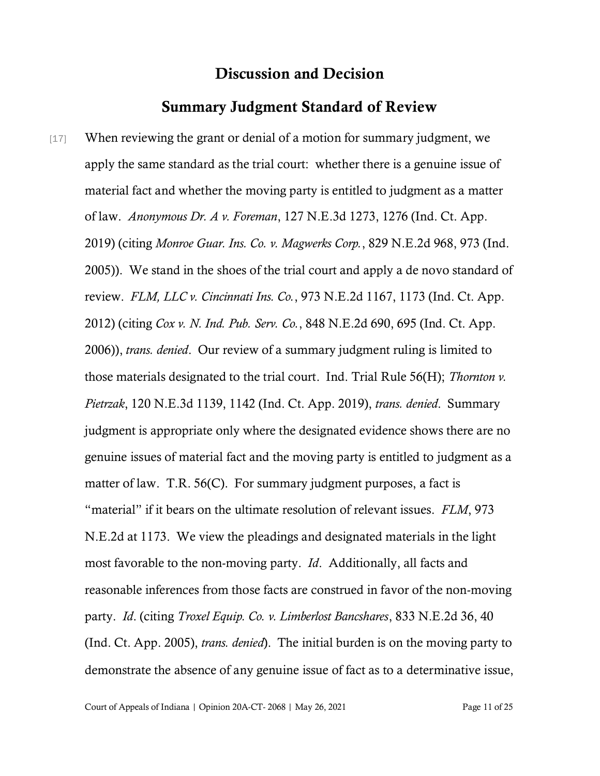## Discussion and Decision

#### Summary Judgment Standard of Review

[17] When reviewing the grant or denial of a motion for summary judgment, we apply the same standard as the trial court: whether there is a genuine issue of material fact and whether the moving party is entitled to judgment as a matter of law. *Anonymous Dr. A v. Foreman*, 127 N.E.3d 1273, 1276 (Ind. Ct. App. 2019) (citing *Monroe Guar. Ins. Co. v. Magwerks Corp.*, 829 N.E.2d 968, 973 (Ind. 2005)). We stand in the shoes of the trial court and apply a de novo standard of review. *FLM, LLC v. Cincinnati Ins. Co.*, 973 N.E.2d 1167, 1173 (Ind. Ct. App. 2012) (citing *Cox v. N. Ind. Pub. Serv. Co.*, 848 N.E.2d 690, 695 (Ind. Ct. App. 2006)), *trans. denied*. Our review of a summary judgment ruling is limited to those materials designated to the trial court. Ind. Trial Rule 56(H); *Thornton v. Pietrzak*, 120 N.E.3d 1139, 1142 (Ind. Ct. App. 2019), *trans. denied*. Summary judgment is appropriate only where the designated evidence shows there are no genuine issues of material fact and the moving party is entitled to judgment as a matter of law. T.R. 56(C). For summary judgment purposes, a fact is "material" if it bears on the ultimate resolution of relevant issues. *FLM*, 973 N.E.2d at 1173. We view the pleadings and designated materials in the light most favorable to the non-moving party. *Id*. Additionally, all facts and reasonable inferences from those facts are construed in favor of the non-moving party. *Id*. (citing *Troxel Equip. Co. v. Limberlost Bancshares*, 833 N.E.2d 36, 40 (Ind. Ct. App. 2005), *trans. denied*). The initial burden is on the moving party to demonstrate the absence of any genuine issue of fact as to a determinative issue,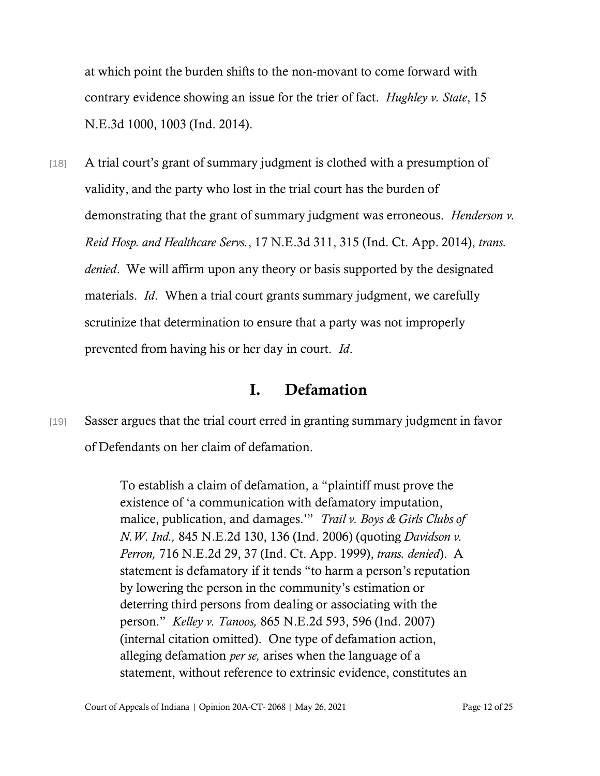at which point the burden shifts to the non-movant to come forward with contrary evidence showing an issue for the trier of fact. *Hughley v. State*, 15 N.E.3d 1000, 1003 (Ind. 2014).

[18] A trial court's grant of summary judgment is clothed with a presumption of validity, and the party who lost in the trial court has the burden of demonstrating that the grant of summary judgment was erroneous. *Henderson v. Reid Hosp. and Healthcare Servs.*, 17 N.E.3d 311, 315 (Ind. Ct. App. 2014), *trans. denied*. We will affirm upon any theory or basis supported by the designated materials. *Id*. When a trial court grants summary judgment, we carefully scrutinize that determination to ensure that a party was not improperly prevented from having his or her day in court. *Id*.

#### I. Defamation

[19] Sasser argues that the trial court erred in granting summary judgment in favor of Defendants on her claim of defamation.

> To establish a claim of defamation, a "plaintiff must prove the existence of 'a communication with defamatory imputation, malice, publication, and damages.'" *Trail v. Boys & Girls Clubs of N.W. Ind.,* 845 N.E.2d 130, 136 (Ind. 2006) (quoting *Davidson v. Perron,* 716 N.E.2d 29, 37 (Ind. Ct. App. 1999), *trans. denied*). A statement is defamatory if it tends "to harm a person's reputation by lowering the person in the community's estimation or deterring third persons from dealing or associating with the person." *Kelley v. Tanoos,* 865 N.E.2d 593, 596 (Ind. 2007) (internal citation omitted). One type of defamation action, alleging defamation *per se,* arises when the language of a statement, without reference to extrinsic evidence, constitutes an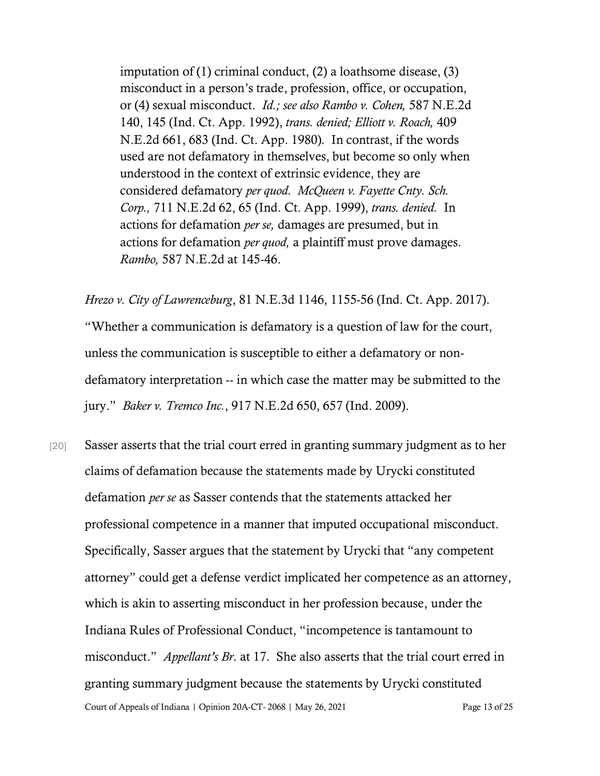imputation of (1) criminal conduct, (2) a loathsome disease, (3) misconduct in a person's trade, profession, office, or occupation, or (4) sexual misconduct. *Id.; see also Rambo v. Cohen,* 587 N.E.2d 140, 145 (Ind. Ct. App. 1992), *trans. denied; Elliott v. Roach,* 409 N.E.2d 661, 683 (Ind. Ct. App. 1980)*.* In contrast, if the words used are not defamatory in themselves, but become so only when understood in the context of extrinsic evidence, they are considered defamatory *per quod. McQueen v. Fayette Cnty. Sch. Corp.,* 711 N.E.2d 62, 65 (Ind. Ct. App. 1999), *trans. denied.* In actions for defamation *per se,* damages are presumed, but in actions for defamation *per quod,* a plaintiff must prove damages. *Rambo,* 587 N.E.2d at 145-46.

*Hrezo v. City of Lawrenceburg*, 81 N.E.3d 1146, 1155-56 (Ind. Ct. App. 2017). "Whether a communication is defamatory is a question of law for the court, unless the communication is susceptible to either a defamatory or nondefamatory interpretation -- in which case the matter may be submitted to the jury." *Baker v. Tremco Inc.*, 917 N.E.2d 650, 657 (Ind. 2009).

Court of Appeals of Indiana | Opinion 20A-CT- 2068 | May 26, 2021 Page 13 of 25 [20] Sasser asserts that the trial court erred in granting summary judgment as to her claims of defamation because the statements made by Urycki constituted defamation *per se* as Sasser contends that the statements attacked her professional competence in a manner that imputed occupational misconduct. Specifically, Sasser argues that the statement by Urycki that "any competent attorney" could get a defense verdict implicated her competence as an attorney, which is akin to asserting misconduct in her profession because, under the Indiana Rules of Professional Conduct, "incompetence is tantamount to misconduct." *Appellant's Br*. at 17. She also asserts that the trial court erred in granting summary judgment because the statements by Urycki constituted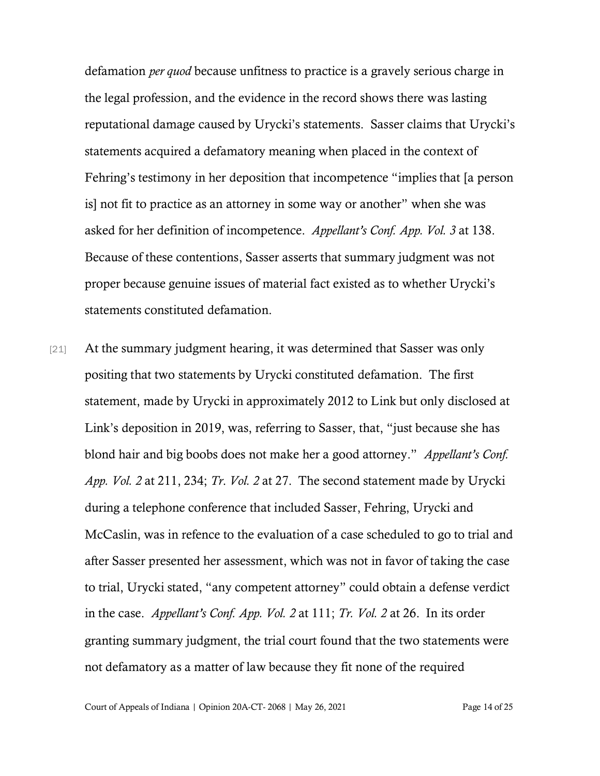defamation *per quod* because unfitness to practice is a gravely serious charge in the legal profession, and the evidence in the record shows there was lasting reputational damage caused by Urycki's statements. Sasser claims that Urycki's statements acquired a defamatory meaning when placed in the context of Fehring's testimony in her deposition that incompetence "implies that [a person is] not fit to practice as an attorney in some way or another" when she was asked for her definition of incompetence. *Appellant's Conf. App. Vol. 3* at 138. Because of these contentions, Sasser asserts that summary judgment was not proper because genuine issues of material fact existed as to whether Urycki's statements constituted defamation.

[21] At the summary judgment hearing, it was determined that Sasser was only positing that two statements by Urycki constituted defamation. The first statement, made by Urycki in approximately 2012 to Link but only disclosed at Link's deposition in 2019, was, referring to Sasser, that, "just because she has blond hair and big boobs does not make her a good attorney." *Appellant's Conf. App. Vol. 2* at 211, 234; *Tr*. *Vol. 2* at 27. The second statement made by Urycki during a telephone conference that included Sasser, Fehring, Urycki and McCaslin, was in refence to the evaluation of a case scheduled to go to trial and after Sasser presented her assessment, which was not in favor of taking the case to trial, Urycki stated, "any competent attorney" could obtain a defense verdict in the case. *Appellant's Conf. App. Vol. 2* at 111; *Tr. Vol. 2* at 26. In its order granting summary judgment, the trial court found that the two statements were not defamatory as a matter of law because they fit none of the required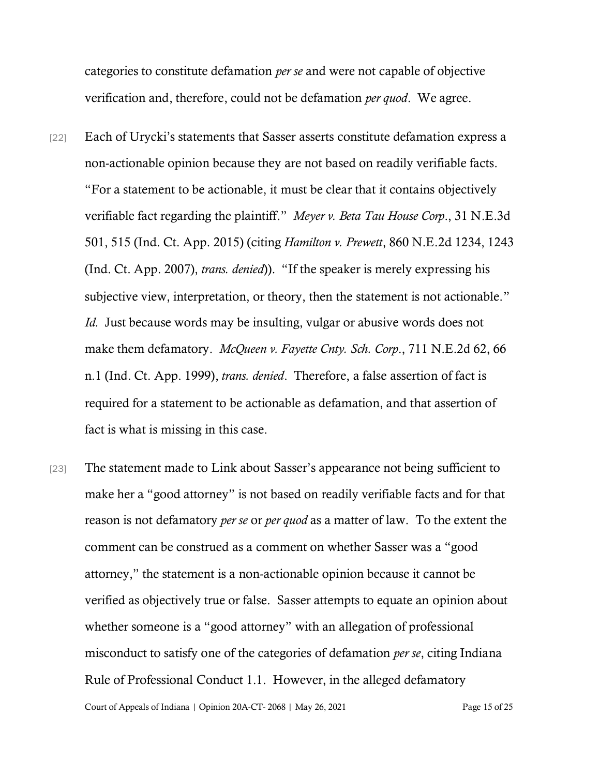categories to constitute defamation *per se* and were not capable of objective verification and, therefore, could not be defamation *per quod*. We agree.

- [22] Each of Urycki's statements that Sasser asserts constitute defamation express a non-actionable opinion because they are not based on readily verifiable facts. "For a statement to be actionable, it must be clear that it contains objectively verifiable fact regarding the plaintiff." *Meyer v. Beta Tau House Corp*., 31 N.E.3d 501, 515 (Ind. Ct. App. 2015) (citing *Hamilton v. Prewett*, 860 N.E.2d 1234, 1243 (Ind. Ct. App. 2007), *trans. denied*)). "If the speaker is merely expressing his subjective view, interpretation, or theory, then the statement is not actionable." *Id.* Just because words may be insulting, vulgar or abusive words does not make them defamatory. *McQueen v. Fayette Cnty. Sch. Corp*., 711 N.E.2d 62, 66 n.1 (Ind. Ct. App. 1999), *trans. denied*. Therefore, a false assertion of fact is required for a statement to be actionable as defamation, and that assertion of fact is what is missing in this case.
- Court of Appeals of Indiana | Opinion 20A-CT- 2068 | May 26, 2021 Page 15 of 25 [23] The statement made to Link about Sasser's appearance not being sufficient to make her a "good attorney" is not based on readily verifiable facts and for that reason is not defamatory *per se* or *per quod* as a matter of law. To the extent the comment can be construed as a comment on whether Sasser was a "good attorney," the statement is a non-actionable opinion because it cannot be verified as objectively true or false. Sasser attempts to equate an opinion about whether someone is a "good attorney" with an allegation of professional misconduct to satisfy one of the categories of defamation *per se*, citing Indiana Rule of Professional Conduct 1.1. However, in the alleged defamatory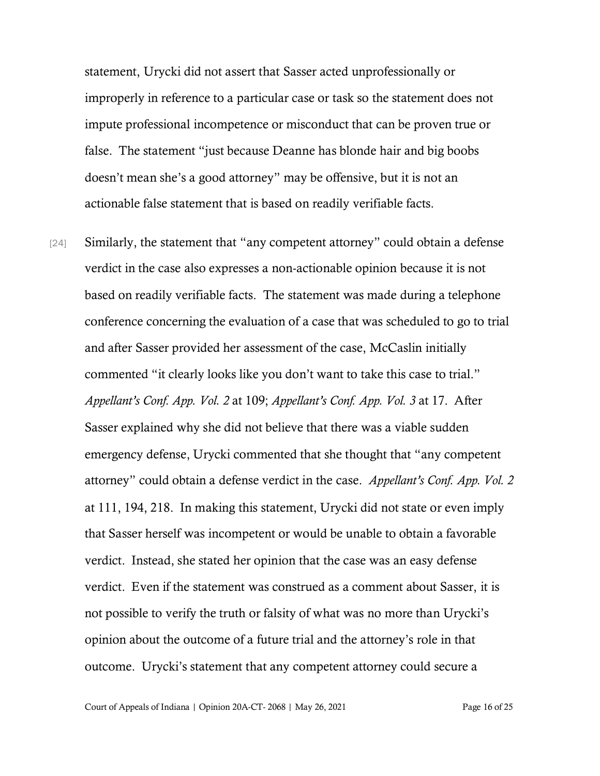statement, Urycki did not assert that Sasser acted unprofessionally or improperly in reference to a particular case or task so the statement does not impute professional incompetence or misconduct that can be proven true or false. The statement "just because Deanne has blonde hair and big boobs doesn't mean she's a good attorney" may be offensive, but it is not an actionable false statement that is based on readily verifiable facts.

[24] Similarly, the statement that "any competent attorney" could obtain a defense verdict in the case also expresses a non-actionable opinion because it is not based on readily verifiable facts. The statement was made during a telephone conference concerning the evaluation of a case that was scheduled to go to trial and after Sasser provided her assessment of the case, McCaslin initially commented "it clearly looks like you don't want to take this case to trial." *Appellant's Conf. App. Vol. 2* at 109; *Appellant's Conf. App. Vol. 3* at 17. After Sasser explained why she did not believe that there was a viable sudden emergency defense, Urycki commented that she thought that "any competent attorney" could obtain a defense verdict in the case. *Appellant's Conf. App. Vol. 2*  at 111, 194, 218. In making this statement, Urycki did not state or even imply that Sasser herself was incompetent or would be unable to obtain a favorable verdict. Instead, she stated her opinion that the case was an easy defense verdict. Even if the statement was construed as a comment about Sasser, it is not possible to verify the truth or falsity of what was no more than Urycki's opinion about the outcome of a future trial and the attorney's role in that outcome. Urycki's statement that any competent attorney could secure a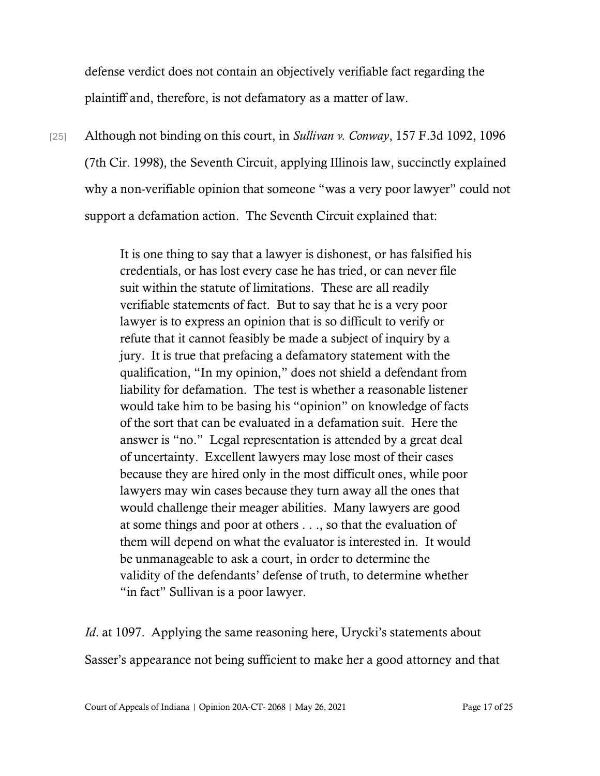defense verdict does not contain an objectively verifiable fact regarding the plaintiff and, therefore, is not defamatory as a matter of law.

[25] Although not binding on this court, in *Sullivan v. Conway*, 157 F.3d 1092, 1096 (7th Cir. 1998), the Seventh Circuit, applying Illinois law, succinctly explained why a non-verifiable opinion that someone "was a very poor lawyer" could not support a defamation action. The Seventh Circuit explained that:

> It is one thing to say that a lawyer is dishonest, or has falsified his credentials, or has lost every case he has tried, or can never file suit within the statute of limitations. These are all readily verifiable statements of fact. But to say that he is a very poor lawyer is to express an opinion that is so difficult to verify or refute that it cannot feasibly be made a subject of inquiry by a jury. It is true that prefacing a defamatory statement with the qualification, "In my opinion," does not shield a defendant from liability for defamation. The test is whether a reasonable listener would take him to be basing his "opinion" on knowledge of facts of the sort that can be evaluated in a defamation suit. Here the answer is "no." Legal representation is attended by a great deal of uncertainty. Excellent lawyers may lose most of their cases because they are hired only in the most difficult ones, while poor lawyers may win cases because they turn away all the ones that would challenge their meager abilities. Many lawyers are good at some things and poor at others . . ., so that the evaluation of them will depend on what the evaluator is interested in. It would be unmanageable to ask a court, in order to determine the validity of the defendants' defense of truth, to determine whether "in fact" Sullivan is a poor lawyer.

*Id.* at 1097. Applying the same reasoning here, Urycki's statements about Sasser's appearance not being sufficient to make her a good attorney and that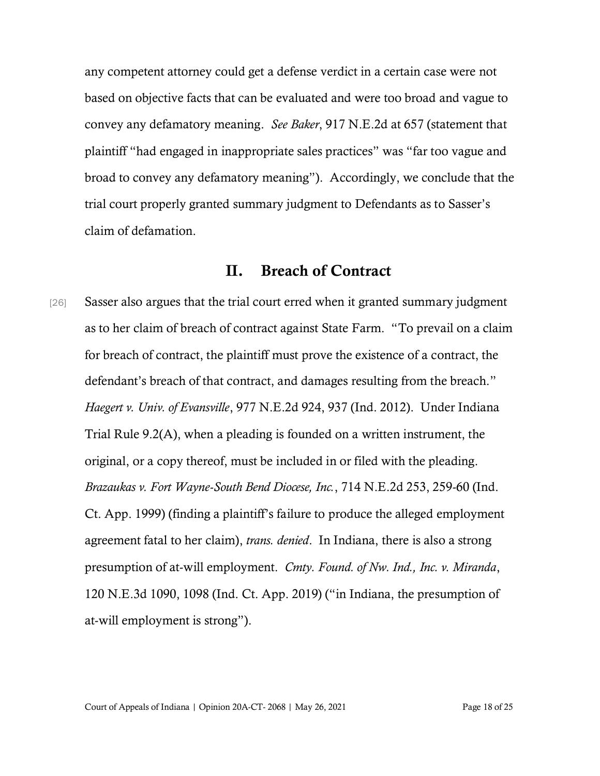any competent attorney could get a defense verdict in a certain case were not based on objective facts that can be evaluated and were too broad and vague to convey any defamatory meaning. *See Baker*, 917 N.E.2d at 657 (statement that plaintiff "had engaged in inappropriate sales practices" was "far too vague and broad to convey any defamatory meaning"). Accordingly, we conclude that the trial court properly granted summary judgment to Defendants as to Sasser's claim of defamation.

# II. Breach of Contract

[26] Sasser also argues that the trial court erred when it granted summary judgment as to her claim of breach of contract against State Farm. "To prevail on a claim for breach of contract, the plaintiff must prove the existence of a contract, the defendant's breach of that contract, and damages resulting from the breach." *Haegert v. Univ. of Evansville*, 977 N.E.2d 924, 937 (Ind. 2012). Under Indiana Trial Rule 9.2(A), when a pleading is founded on a written instrument, the original, or a copy thereof, must be included in or filed with the pleading. *Brazaukas v. Fort Wayne-South Bend Diocese, Inc.*, 714 N.E.2d 253, 259-60 (Ind. Ct. App. 1999) (finding a plaintiff's failure to produce the alleged employment agreement fatal to her claim), *trans. denied*. In Indiana, there is also a strong presumption of at-will employment. *Cmty. Found. of Nw. Ind., Inc. v. Miranda*, 120 N.E.3d 1090, 1098 (Ind. Ct. App. 2019) ("in Indiana, the presumption of at-will employment is strong").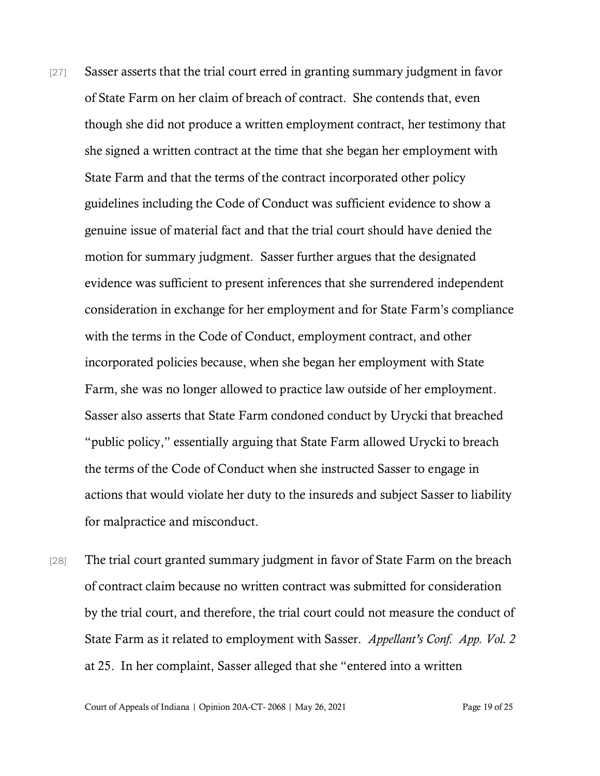- [27] Sasser asserts that the trial court erred in granting summary judgment in favor of State Farm on her claim of breach of contract. She contends that, even though she did not produce a written employment contract, her testimony that she signed a written contract at the time that she began her employment with State Farm and that the terms of the contract incorporated other policy guidelines including the Code of Conduct was sufficient evidence to show a genuine issue of material fact and that the trial court should have denied the motion for summary judgment. Sasser further argues that the designated evidence was sufficient to present inferences that she surrendered independent consideration in exchange for her employment and for State Farm's compliance with the terms in the Code of Conduct, employment contract, and other incorporated policies because, when she began her employment with State Farm, she was no longer allowed to practice law outside of her employment. Sasser also asserts that State Farm condoned conduct by Urycki that breached "public policy," essentially arguing that State Farm allowed Urycki to breach the terms of the Code of Conduct when she instructed Sasser to engage in actions that would violate her duty to the insureds and subject Sasser to liability for malpractice and misconduct.
- [28] The trial court granted summary judgment in favor of State Farm on the breach of contract claim because no written contract was submitted for consideration by the trial court, and therefore, the trial court could not measure the conduct of State Farm as it related to employment with Sasser. *Appellant's Conf. App. Vol. 2*  at 25. In her complaint, Sasser alleged that she "entered into a written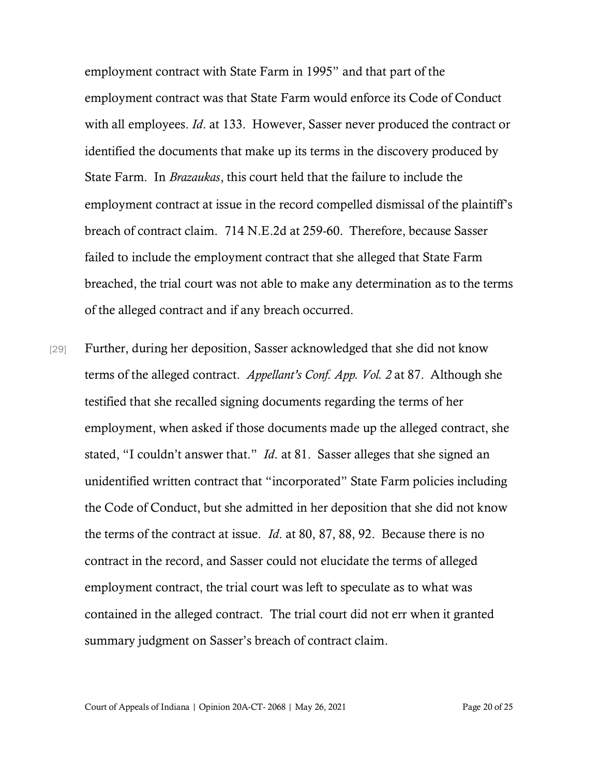employment contract with State Farm in 1995" and that part of the employment contract was that State Farm would enforce its Code of Conduct with all employees. *Id*. at 133. However, Sasser never produced the contract or identified the documents that make up its terms in the discovery produced by State Farm. In *Brazaukas*, this court held that the failure to include the employment contract at issue in the record compelled dismissal of the plaintiff's breach of contract claim. 714 N.E.2d at 259-60. Therefore, because Sasser failed to include the employment contract that she alleged that State Farm breached, the trial court was not able to make any determination as to the terms of the alleged contract and if any breach occurred.

[29] Further, during her deposition, Sasser acknowledged that she did not know terms of the alleged contract. *Appellant's Conf. App. Vol. 2* at 87. Although she testified that she recalled signing documents regarding the terms of her employment, when asked if those documents made up the alleged contract, she stated, "I couldn't answer that." *Id*. at 81. Sasser alleges that she signed an unidentified written contract that "incorporated" State Farm policies including the Code of Conduct, but she admitted in her deposition that she did not know the terms of the contract at issue. *Id*. at 80, 87, 88, 92. Because there is no contract in the record, and Sasser could not elucidate the terms of alleged employment contract, the trial court was left to speculate as to what was contained in the alleged contract. The trial court did not err when it granted summary judgment on Sasser's breach of contract claim.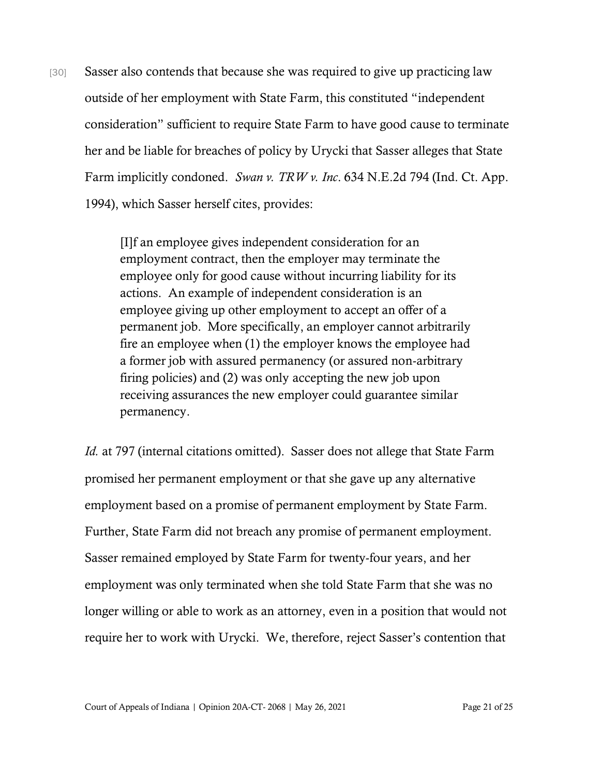[30] Sasser also contends that because she was required to give up practicing law outside of her employment with State Farm, this constituted "independent consideration" sufficient to require State Farm to have good cause to terminate her and be liable for breaches of policy by Urycki that Sasser alleges that State Farm implicitly condoned. *Swan v. TRW v. Inc*. 634 N.E.2d 794 (Ind. Ct. App. 1994), which Sasser herself cites, provides:

> [I]f an employee gives independent consideration for an employment contract, then the employer may terminate the employee only for good cause without incurring liability for its actions. An example of independent consideration is an employee giving up other employment to accept an offer of a permanent job. More specifically, an employer cannot arbitrarily fire an employee when (1) the employer knows the employee had a former job with assured permanency (or assured non-arbitrary firing policies) and (2) was only accepting the new job upon receiving assurances the new employer could guarantee similar permanency.

*Id.* at 797 (internal citations omitted). Sasser does not allege that State Farm promised her permanent employment or that she gave up any alternative employment based on a promise of permanent employment by State Farm. Further, State Farm did not breach any promise of permanent employment. Sasser remained employed by State Farm for twenty-four years, and her employment was only terminated when she told State Farm that she was no longer willing or able to work as an attorney, even in a position that would not require her to work with Urycki. We, therefore, reject Sasser's contention that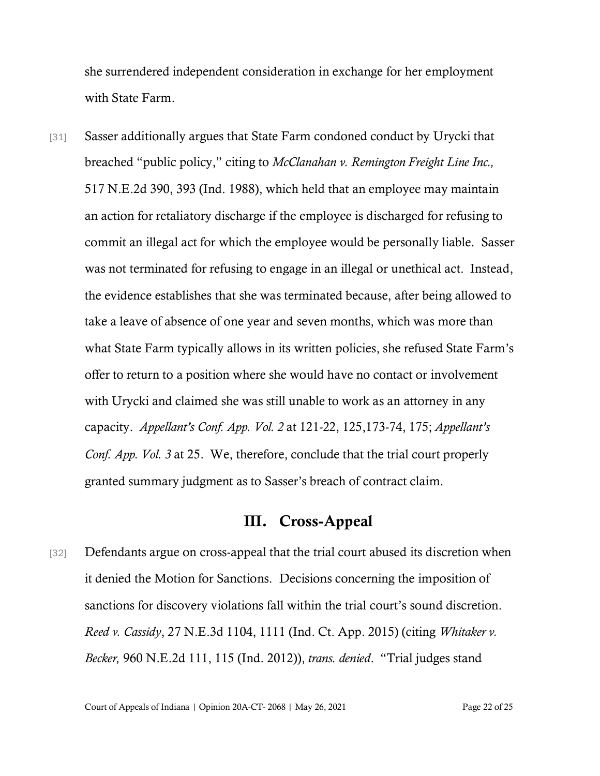she surrendered independent consideration in exchange for her employment with State Farm.

[31] Sasser additionally argues that State Farm condoned conduct by Urycki that breached "public policy," citing to *McClanahan v. Remington Freight Line Inc.,*  517 N.E.2d 390, 393 (Ind. 1988), which held that an employee may maintain an action for retaliatory discharge if the employee is discharged for refusing to commit an illegal act for which the employee would be personally liable. Sasser was not terminated for refusing to engage in an illegal or unethical act. Instead, the evidence establishes that she was terminated because, after being allowed to take a leave of absence of one year and seven months, which was more than what State Farm typically allows in its written policies, she refused State Farm's offer to return to a position where she would have no contact or involvement with Urycki and claimed she was still unable to work as an attorney in any capacity. *Appellant's Conf. App. Vol. 2* at 121-22, 125,173-74, 175; *Appellant's Conf. App. Vol. 3* at 25. We, therefore, conclude that the trial court properly granted summary judgment as to Sasser's breach of contract claim.

## III. Cross-Appeal

[32] Defendants argue on cross-appeal that the trial court abused its discretion when it denied the Motion for Sanctions. Decisions concerning the imposition of sanctions for discovery violations fall within the trial court's sound discretion. *Reed v. Cassidy*, 27 N.E.3d 1104, 1111 (Ind. Ct. App. 2015) (citing *Whitaker v. Becker,* 960 N.E.2d 111, 115 (Ind. 2012)), *trans. denied*. "Trial judges stand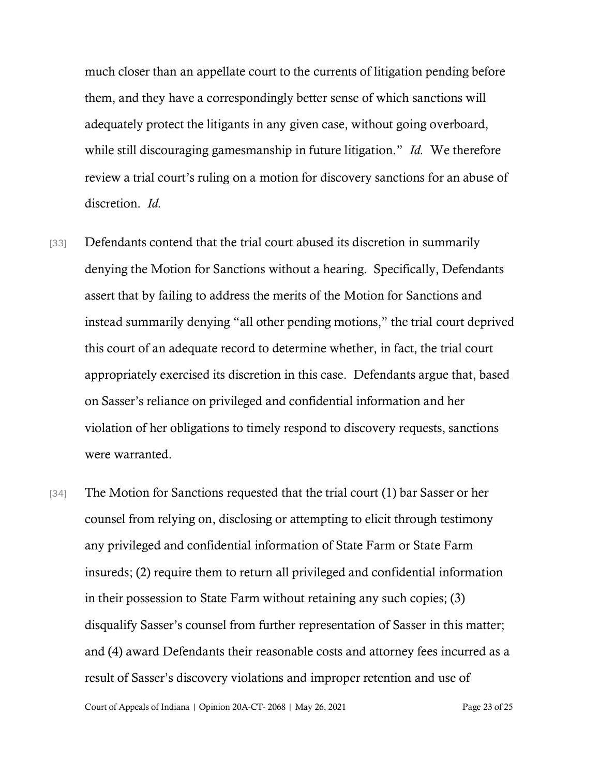much closer than an appellate court to the currents of litigation pending before them, and they have a correspondingly better sense of which sanctions will adequately protect the litigants in any given case, without going overboard, while still discouraging gamesmanship in future litigation." *Id.* We therefore review a trial court's ruling on a motion for discovery sanctions for an abuse of discretion. *Id.*

- [33] Defendants contend that the trial court abused its discretion in summarily denying the Motion for Sanctions without a hearing. Specifically, Defendants assert that by failing to address the merits of the Motion for Sanctions and instead summarily denying "all other pending motions," the trial court deprived this court of an adequate record to determine whether, in fact, the trial court appropriately exercised its discretion in this case. Defendants argue that, based on Sasser's reliance on privileged and confidential information and her violation of her obligations to timely respond to discovery requests, sanctions were warranted.
- [34] The Motion for Sanctions requested that the trial court (1) bar Sasser or her counsel from relying on, disclosing or attempting to elicit through testimony any privileged and confidential information of State Farm or State Farm insureds; (2) require them to return all privileged and confidential information in their possession to State Farm without retaining any such copies; (3) disqualify Sasser's counsel from further representation of Sasser in this matter; and (4) award Defendants their reasonable costs and attorney fees incurred as a result of Sasser's discovery violations and improper retention and use of

Court of Appeals of Indiana | Opinion 20A-CT- 2068 | May 26, 2021 Page 23 of 25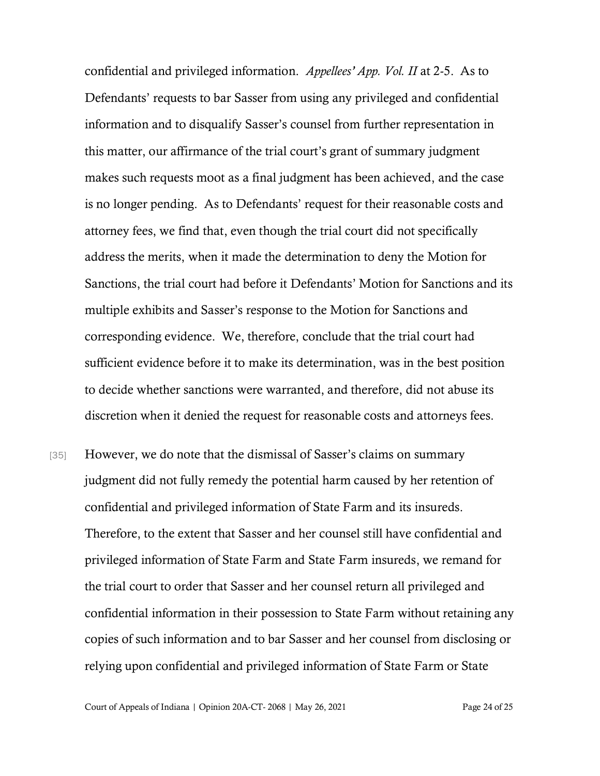confidential and privileged information. *Appellees' App. Vol. II* at 2-5. As to Defendants' requests to bar Sasser from using any privileged and confidential information and to disqualify Sasser's counsel from further representation in this matter, our affirmance of the trial court's grant of summary judgment makes such requests moot as a final judgment has been achieved, and the case is no longer pending. As to Defendants' request for their reasonable costs and attorney fees, we find that, even though the trial court did not specifically address the merits, when it made the determination to deny the Motion for Sanctions, the trial court had before it Defendants' Motion for Sanctions and its multiple exhibits and Sasser's response to the Motion for Sanctions and corresponding evidence. We, therefore, conclude that the trial court had sufficient evidence before it to make its determination, was in the best position to decide whether sanctions were warranted, and therefore, did not abuse its discretion when it denied the request for reasonable costs and attorneys fees.

[35] However, we do note that the dismissal of Sasser's claims on summary judgment did not fully remedy the potential harm caused by her retention of confidential and privileged information of State Farm and its insureds. Therefore, to the extent that Sasser and her counsel still have confidential and privileged information of State Farm and State Farm insureds, we remand for the trial court to order that Sasser and her counsel return all privileged and confidential information in their possession to State Farm without retaining any copies of such information and to bar Sasser and her counsel from disclosing or relying upon confidential and privileged information of State Farm or State